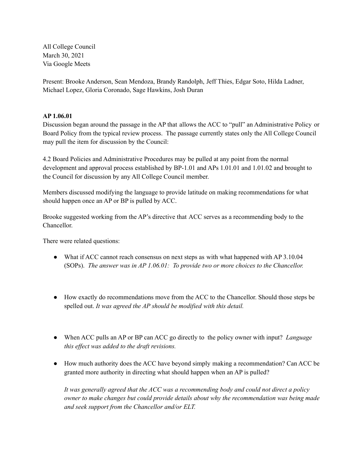All College Council March 30, 2021 Via Google Meets

Present: Brooke Anderson, Sean Mendoza, Brandy Randolph, Jeff Thies, Edgar Soto, Hilda Ladner, Michael Lopez, Gloria Coronado, Sage Hawkins, Josh Duran

## **AP 1.06.01**

Discussion began around the passage in the AP that allows the ACC to "pull" an Administrative Policy or Board Policy from the typical review process. The passage currently states only the All College Council may pull the item for discussion by the Council:

4.2 Board Policies and Administrative Procedures may be pulled at any point from the normal development and approval process established by BP-1.01 and APs 1.01.01 and 1.01.02 and brought to the Council for discussion by any All College Council member.

Members discussed modifying the language to provide latitude on making recommendations for what should happen once an AP or BP is pulled by ACC.

Brooke suggested working from the AP's directive that ACC serves as a recommending body to the Chancellor.

There were related questions:

- What if ACC cannot reach consensus on next steps as with what happened with AP 3.10.04 (SOPs). *The answer was in AP 1.06.01: To provide two or more choices to the Chancellor.*
- How exactly do recommendations move from the ACC to the Chancellor. Should those steps be spelled out. *It was agreed the AP should be modified with this detail.*
- When ACC pulls an AP or BP can ACC go directly to the policy owner with input? *Language this ef ect was added to the draft revisions.*
- How much authority does the ACC have beyond simply making a recommendation? Can ACC be granted more authority in directing what should happen when an AP is pulled?

*It was generally agreed that the ACC was a recommending body and could not direct a policy owner to make changes but could provide details about why the recommendation was being made and seek support from the Chancellor and/or ELT.*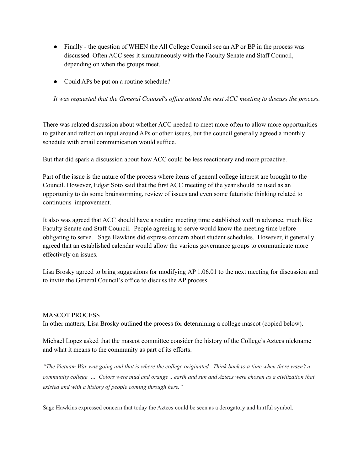- Finally the question of WHEN the All College Council see an AP or BP in the process was discussed. Often ACC sees it simultaneously with the Faculty Senate and Staff Council, depending on when the groups meet.
- Could APs be put on a routine schedule?

It was requested that the General Counsel's office attend the next ACC meeting to discuss the process.

There was related discussion about whether ACC needed to meet more often to allow more opportunities to gather and reflect on input around APs or other issues, but the council generally agreed a monthly schedule with email communication would suffice.

But that did spark a discussion about how ACC could be less reactionary and more proactive.

Part of the issue is the nature of the process where items of general college interest are brought to the Council. However, Edgar Soto said that the first ACC meeting of the year should be used as an opportunity to do some brainstorming, review of issues and even some futuristic thinking related to continuous improvement.

It also was agreed that ACC should have a routine meeting time established well in advance, much like Faculty Senate and Staff Council. People agreeing to serve would know the meeting time before obligating to serve. Sage Hawkins did express concern about student schedules. However, it generally agreed that an established calendar would allow the various governance groups to communicate more effectively on issues.

Lisa Brosky agreed to bring suggestions for modifying AP 1.06.01 to the next meeting for discussion and to invite the General Council's office to discuss the AP process.

### MASCOT PROCESS

In other matters, Lisa Brosky outlined the process for determining a college mascot (copied below).

Michael Lopez asked that the mascot committee consider the history of the College's Aztecs nickname and what it means to the community as part of its efforts.

"The Vietnam War was going and that is where the college originated. Think back to a time when there wasn't a community college ... Colors were mud and orange .. earth and sun and Aztecs were chosen as a civilization that *existed and with a history of people coming through here."*

Sage Hawkins expressed concern that today the Aztecs could be seen as a derogatory and hurtful symbol.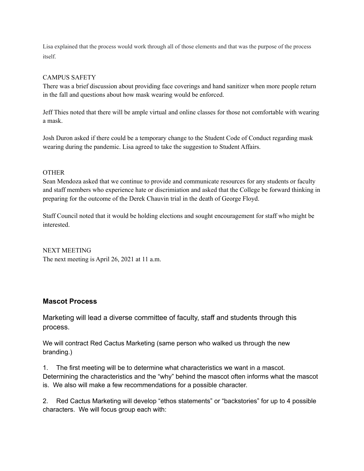Lisa explained that the process would work through all of those elements and that was the purpose of the process itself.

## CAMPUS SAFETY

There was a brief discussion about providing face coverings and hand sanitizer when more people return in the fall and questions about how mask wearing would be enforced.

Jeff Thies noted that there will be ample virtual and online classes for those not comfortable with wearing a mask.

Josh Duron asked if there could be a temporary change to the Student Code of Conduct regarding mask wearing during the pandemic. Lisa agreed to take the suggestion to Student Affairs.

### **OTHER**

Sean Mendoza asked that we continue to provide and communicate resources for any students or faculty and staff members who experience hate or discrimiation and asked that the College be forward thinking in preparing for the outcome of the Derek Chauvin trial in the death of George Floyd.

Staff Council noted that it would be holding elections and sought encouragement for staff who might be interested.

NEXT MEETING The next meeting is April 26, 2021 at 11 a.m.

# **Mascot Process**

Marketing will lead a diverse committee of faculty, staff and students through this process.

We will contract Red Cactus Marketing (same person who walked us through the new branding.)

1. The first meeting will be to determine what characteristics we want in a mascot. Determining the characteristics and the "why" behind the mascot often informs what the mascot is. We also will make a few recommendations for a possible character.

2. Red Cactus Marketing will develop "ethos statements" or "backstories" for up to 4 possible characters. We will focus group each with: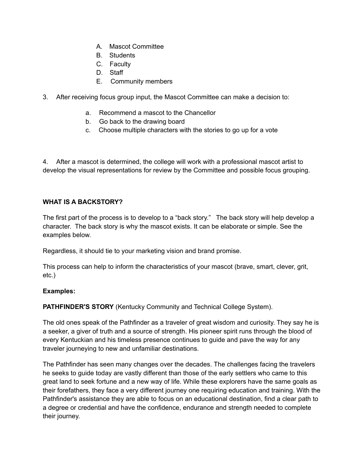- A. Mascot Committee
- B. Students
- C. Faculty
- D. Staff
- E. Community members
- 3. After receiving focus group input, the Mascot Committee can make a decision to:
	- a. Recommend a mascot to the Chancellor
	- b. Go back to the drawing board
	- c. Choose multiple characters with the stories to go up for a vote

4. After a mascot is determined, the college will work with a professional mascot artist to develop the visual representations for review by the Committee and possible focus grouping.

### **WHAT IS A BACKSTORY?**

The first part of the process is to develop to a "back story." The back story will help develop a character. The back story is why the mascot exists. It can be elaborate or simple. See the examples below.

Regardless, it should tie to your marketing vision and brand promise.

This process can help to inform the characteristics of your mascot (brave, smart, clever, grit, etc.)

### **Examples:**

**PATHFINDER'S STORY** (Kentucky Community and Technical College System).

The old ones speak of the Pathfinder as a traveler of great wisdom and curiosity. They say he is a seeker, a giver of truth and a source of strength. His pioneer spirit runs through the blood of every Kentuckian and his timeless presence continues to guide and pave the way for any traveler journeying to new and unfamiliar destinations.

The Pathfinder has seen many changes over the decades. The challenges facing the travelers he seeks to guide today are vastly different than those of the early settlers who came to this great land to seek fortune and a new way of life. While these explorers have the same goals as their forefathers, they face a very different journey one requiring education and training. With the Pathfinder's assistance they are able to focus on an educational destination, find a clear path to a degree or credential and have the confidence, endurance and strength needed to complete their journey.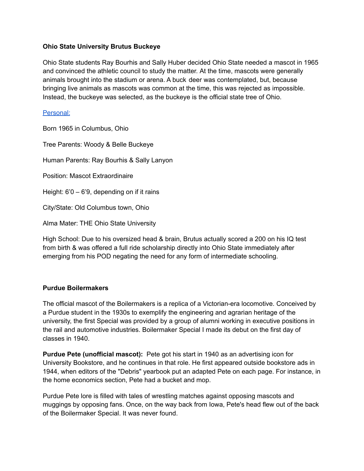# **Ohio State University Brutus Buckeye**

Ohio State students Ray Bourhis and Sally Huber decided Ohio State needed a mascot in 1965 and convinced the athletic council to study the matter. At the time, mascots were generally animals brought into the stadium or arena. A buck deer was contemplated, but, because bringing live animals as mascots was common at the time, this was rejected as impossible. Instead, the buckeye was selected, as the buckeye is the official state tree of Ohio.

## [Personal:](https://ohiostatebuckeyes.com/brutus-buckeye/)

Born 1965 in Columbus, Ohio Tree Parents: Woody & Belle Buckeye Human Parents: Ray Bourhis & Sally Lanyon Position: Mascot Extraordinaire Height: 6'0 – 6'9, depending on if it rains City/State: Old Columbus town, Ohio Alma Mater: THE Ohio State University

High School: Due to his oversized head & brain, Brutus actually scored a 200 on his IQ test from birth & was offered a full ride scholarship directly into Ohio State immediately after emerging from his POD negating the need for any form of intermediate schooling.

### **Purdue Boilermakers**

The official mascot of the Boilermakers is a replica of a Victorian-era locomotive. Conceived by a Purdue student in the 1930s to exemplify the engineering and agrarian heritage of the university, the first Special was provided by a group of alumni working in executive positions in the rail and automotive industries. Boilermaker Special I made its debut on the first day of classes in 1940.

**Purdue Pete (unofficial mascot):** Pete got his start in 1940 as an advertising icon for University Bookstore, and he continues in that role. He first appeared outside bookstore ads in 1944, when editors of the "Debris" yearbook put an adapted Pete on each page. For instance, in the home economics section, Pete had a bucket and mop.

Purdue Pete lore is filled with tales of wrestling matches against opposing mascots and muggings by opposing fans. Once, on the way back from Iowa, Pete's head flew out of the back of the Boilermaker Special. It was never found.